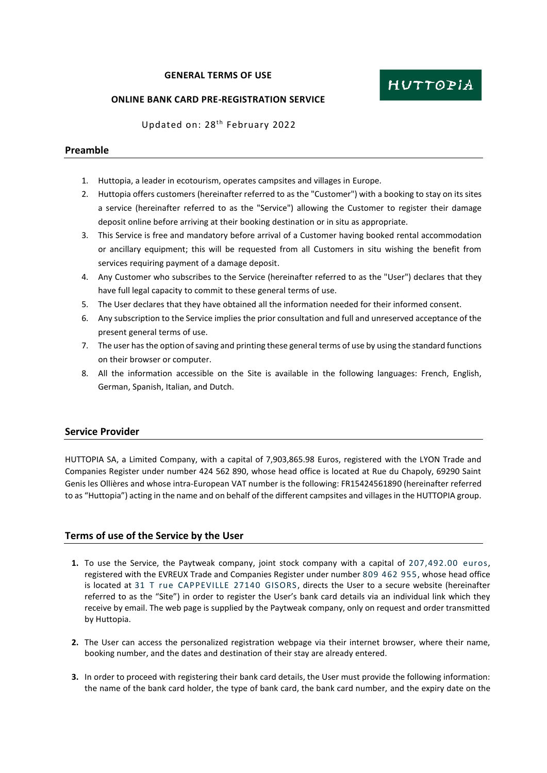#### **GENERAL TERMS OF USE**

#### **ONLINE BANK CARD PRE-REGISTRATION SERVICE**

Updated on: 28<sup>th</sup> February 2022

#### **Preamble**

- 1. Huttopia, a leader in ecotourism, operates campsites and villages in Europe.
- 2. Huttopia offers customers (hereinafter referred to as the "Customer") with a booking to stay on its sites a service (hereinafter referred to as the "Service") allowing the Customer to register their damage deposit online before arriving at their booking destination or in situ as appropriate.
- 3. This Service is free and mandatory before arrival of a Customer having booked rental accommodation or ancillary equipment; this will be requested from all Customers in situ wishing the benefit from services requiring payment of a damage deposit.
- 4. Any Customer who subscribes to the Service (hereinafter referred to as the "User") declares that they have full legal capacity to commit to these general terms of use.
- 5. The User declares that they have obtained all the information needed for their informed consent.
- 6. Any subscription to the Service implies the prior consultation and full and unreserved acceptance of the present general terms of use.
- 7. The user has the option of saving and printing these general terms of use by using the standard functions on their browser or computer.
- 8. All the information accessible on the Site is available in the following languages: French, English, German, Spanish, Italian, and Dutch.

## **Service Provider**

HUTTOPIA SA, a Limited Company, with a capital of 7,903,865.98 Euros, registered with the LYON Trade and Companies Register under number 424 562 890, whose head office is located at Rue du Chapoly, 69290 Saint Genis les Ollières and whose intra-European VAT number is the following: FR15424561890 (hereinafter referred to as "Huttopia") acting in the name and on behalf of the different campsites and villages in the HUTTOPIA group.

## **Terms of use of the Service by the User**

- **1.** To use the Service, the Paytweak company, joint stock company with a capital of 207,492.00 euros, registered with the EVREUX Trade and Companies Register under number 809 462 955, whose head office is located at 31 T rue CAPPEVILLE 27140 GISORS , directs the User to a secure website (hereinafter referred to as the "Site") in order to register the User's bank card details via an individual link which they receive by email. The web page is supplied by the Paytweak company, only on request and order transmitted by Huttopia.
- **2.** The User can access the personalized registration webpage via their internet browser, where their name, booking number, and the dates and destination of their stay are already entered.
- **3.** In order to proceed with registering their bank card details, the User must provide the following information: the name of the bank card holder, the type of bank card, the bank card number, and the expiry date on the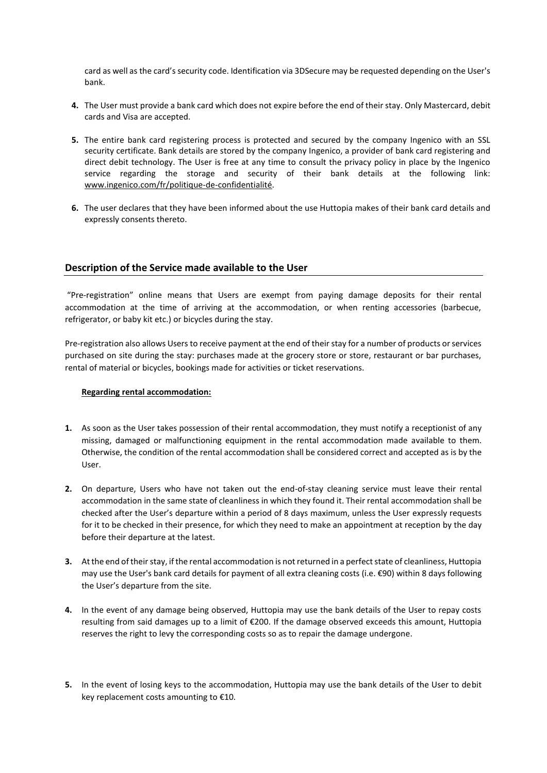card as well as the card's security code. Identification via 3DSecure may be requested depending on the User's bank.

- **4.** The User must provide a bank card which does not expire before the end of their stay. Only Mastercard, debit cards and Visa are accepted.
- **5.** The entire bank card registering process is protected and secured by the company Ingenico with an SSL security certificate. Bank details are stored by the company Ingenico, a provider of bank card registering and direct debit technology. The User is free at any time to consult the privacy policy in place by the Ingenico service regarding the storage and security of their bank details at the following link: [www.ingenico.com/fr/politique-de-confidentialité.](http://www.ingenico.com/fr/politique-de-confidentialité)
- **6.** The user declares that they have been informed about the use Huttopia makes of their bank card details and expressly consents thereto.

## **Description of the Service made available to the User**

"Pre-registration" online means that Users are exempt from paying damage deposits for their rental accommodation at the time of arriving at the accommodation, or when renting accessories (barbecue, refrigerator, or baby kit etc.) or bicycles during the stay.

Pre-registration also allows Users to receive payment at the end of their stay for a number of products or services purchased on site during the stay: purchases made at the grocery store or store, restaurant or bar purchases, rental of material or bicycles, bookings made for activities or ticket reservations.

#### **Regarding rental accommodation:**

- **1.** As soon as the User takes possession of their rental accommodation, they must notify a receptionist of any missing, damaged or malfunctioning equipment in the rental accommodation made available to them. Otherwise, the condition of the rental accommodation shall be considered correct and accepted as is by the User.
- **2.** On departure, Users who have not taken out the end-of-stay cleaning service must leave their rental accommodation in the same state of cleanliness in which they found it. Their rental accommodation shall be checked after the User's departure within a period of 8 days maximum, unless the User expressly requests for it to be checked in their presence, for which they need to make an appointment at reception by the day before their departure at the latest.
- **3.** At the end of their stay, if the rental accommodation is not returned in a perfect state of cleanliness, Huttopia may use the User's bank card details for payment of all extra cleaning costs (i.e. €90) within 8 days following the User's departure from the site.
- **4.** In the event of any damage being observed, Huttopia may use the bank details of the User to repay costs resulting from said damages up to a limit of €200. If the damage observed exceeds this amount, Huttopia reserves the right to levy the corresponding costs so as to repair the damage undergone.
- **5.** In the event of losing keys to the accommodation, Huttopia may use the bank details of the User to debit key replacement costs amounting to €10.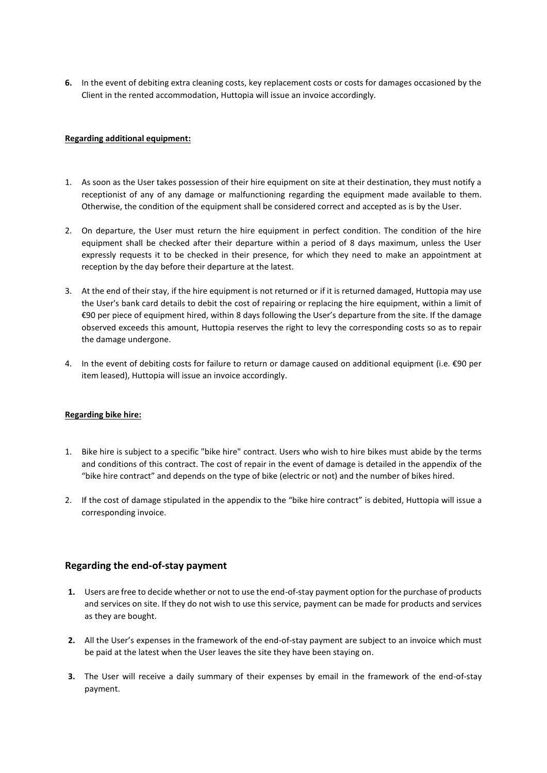**6.** In the event of debiting extra cleaning costs, key replacement costs or costs for damages occasioned by the Client in the rented accommodation, Huttopia will issue an invoice accordingly.

#### **Regarding additional equipment:**

- 1. As soon as the User takes possession of their hire equipment on site at their destination, they must notify a receptionist of any of any damage or malfunctioning regarding the equipment made available to them. Otherwise, the condition of the equipment shall be considered correct and accepted as is by the User.
- 2. On departure, the User must return the hire equipment in perfect condition. The condition of the hire equipment shall be checked after their departure within a period of 8 days maximum, unless the User expressly requests it to be checked in their presence, for which they need to make an appointment at reception by the day before their departure at the latest.
- 3. At the end of their stay, if the hire equipment is not returned or if it is returned damaged, Huttopia may use the User's bank card details to debit the cost of repairing or replacing the hire equipment, within a limit of €90 per piece of equipment hired, within 8 days following the User's departure from the site. If the damage observed exceeds this amount, Huttopia reserves the right to levy the corresponding costs so as to repair the damage undergone.
- 4. In the event of debiting costs for failure to return or damage caused on additional equipment (i.e. €90 per item leased), Huttopia will issue an invoice accordingly.

#### **Regarding bike hire:**

- 1. Bike hire is subject to a specific "bike hire" contract. Users who wish to hire bikes must abide by the terms and conditions of this contract. The cost of repair in the event of damage is detailed in the appendix of the "bike hire contract" and depends on the type of bike (electric or not) and the number of bikes hired.
- 2. If the cost of damage stipulated in the appendix to the "bike hire contract" is debited, Huttopia will issue a corresponding invoice.

## **Regarding the end-of-stay payment**

- **1.** Users are free to decide whether or not to use the end-of-stay payment option for the purchase of products and services on site. If they do not wish to use this service, payment can be made for products and services as they are bought.
- **2.** All the User's expenses in the framework of the end-of-stay payment are subject to an invoice which must be paid at the latest when the User leaves the site they have been staying on.
- **3.** The User will receive a daily summary of their expenses by email in the framework of the end-of-stay payment.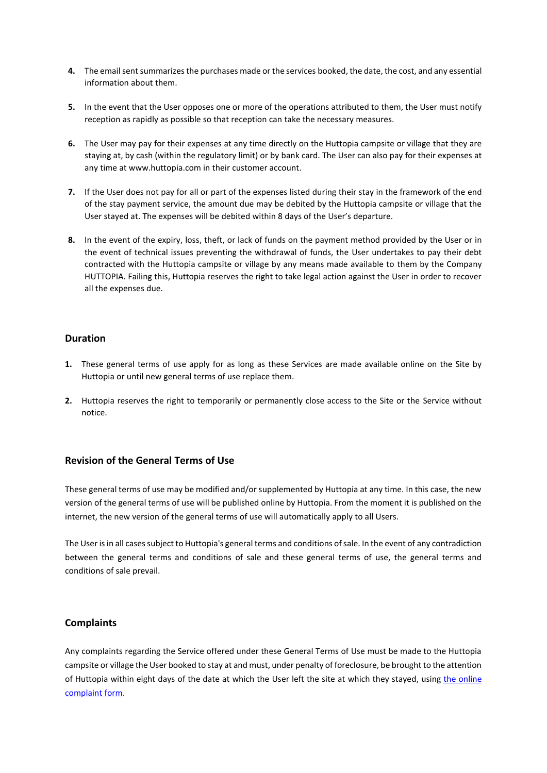- **4.** The email sent summarizes the purchases made or the services booked, the date, the cost, and any essential information about them.
- **5.** In the event that the User opposes one or more of the operations attributed to them, the User must notify reception as rapidly as possible so that reception can take the necessary measures.
- **6.** The User may pay for their expenses at any time directly on the Huttopia campsite or village that they are staying at, by cash (within the regulatory limit) or by bank card. The User can also pay for their expenses at any time at www.huttopia.com in their customer account.
- **7.** If the User does not pay for all or part of the expenses listed during their stay in the framework of the end of the stay payment service, the amount due may be debited by the Huttopia campsite or village that the User stayed at. The expenses will be debited within 8 days of the User's departure.
- **8.** In the event of the expiry, loss, theft, or lack of funds on the payment method provided by the User or in the event of technical issues preventing the withdrawal of funds, the User undertakes to pay their debt contracted with the Huttopia campsite or village by any means made available to them by the Company HUTTOPIA. Failing this, Huttopia reserves the right to take legal action against the User in order to recover all the expenses due.

# **Duration**

- **1.** These general terms of use apply for as long as these Services are made available online on the Site by Huttopia or until new general terms of use replace them.
- **2.** Huttopia reserves the right to temporarily or permanently close access to the Site or the Service without notice.

# **Revision of the General Terms of Use**

These general terms of use may be modified and/or supplemented by Huttopia at any time. In this case, the new version of the general terms of use will be published online by Huttopia. From the moment it is published on the internet, the new version of the general terms of use will automatically apply to all Users.

The User is in all cases subject to Huttopia's general terms and conditions of sale. In the event of any contradiction between the general terms and conditions of sale and these general terms of use, the general terms and conditions of sale prevail.

# **Complaints**

Any complaints regarding the Service offered under these General Terms of Use must be made to the Huttopia campsite or village the User booked to stay at and must, under penalty of foreclosure, be brought to the attention of Huttopia within eight days of the date at which the User left the site at which they stayed, using the online [complaint form.](https://huttopiaeurope.wizville.fr/nearest?geoloc=auto&latitude=45.763473&longitude=4.728844&pc_ids=ocQLOW,UJhUrd&dists=4472.05,4650.57&campaign_id=3247)